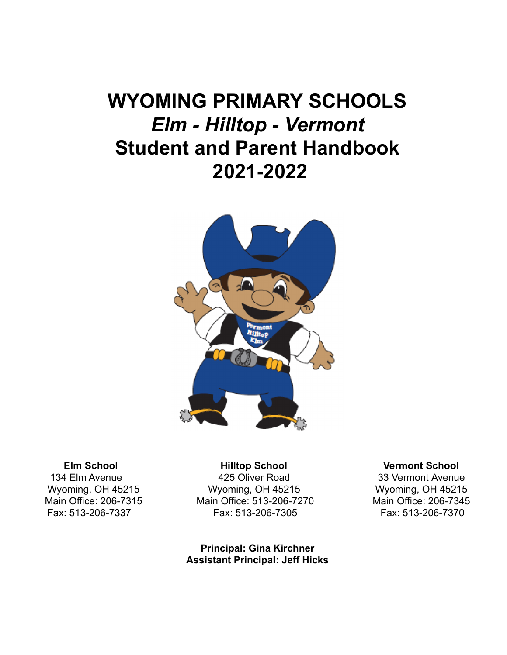# **WYOMING PRIMARY SCHOOLS** *Elm - Hilltop - Vermont* **Student and Parent Handbook 2021-2022**



134 Elm Avenue **425 Oliver Road** 33 Vermont Avenue Wyoming, OH 45215 Wyoming, OH 45215 Wyoming, OH 45215 Main Office: 206-7315 Main Office: 513-206-7270 Main Office: 206-7345 Fax: 513-206-7337 Fax: 513-206-7305 Fax: 513-206-7370

> **Principal: Gina Kirchner Assistant Principal: Jeff Hicks**

#### **Elm School Hilltop School Vermont School**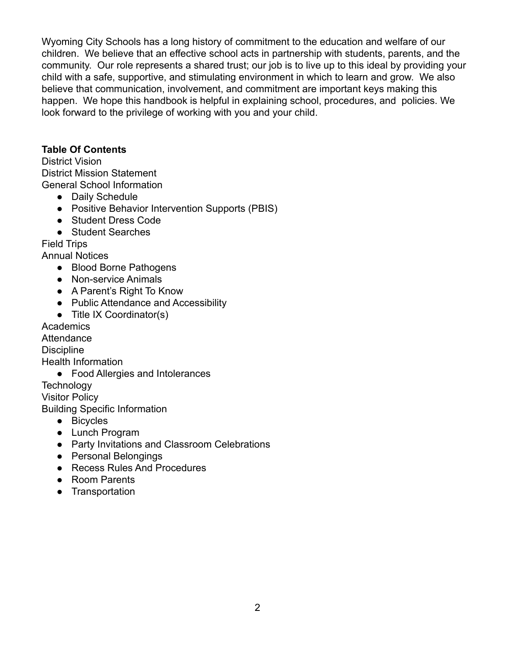Wyoming City Schools has a long history of commitment to the education and welfare of our children. We believe that an effective school acts in partnership with students, parents, and the community. Our role represents a shared trust; our job is to live up to this ideal by providing your child with a safe, supportive, and stimulating environment in which to learn and grow. We also believe that communication, involvement, and commitment are important keys making this happen. We hope this handbook is helpful in explaining school, procedures, and policies. We look forward to the privilege of working with you and your child.

#### **Table Of Contents**

District Vision District Mission Statement General School Information

- Daily Schedule
- Positive Behavior Intervention Supports (PBIS)
- Student Dress Code
- Student Searches

Field Trips

Annual Notices

- Blood Borne Pathogens
- Non-service Animals
- A Parent's Right To Know
- Public Attendance and Accessibility
- Title IX Coordinator(s)

**Academics** 

**Attendance** 

**Discipline** 

Health Information

● Food Allergies and Intolerances

**Technology** 

Visitor Policy

Building Specific Information

- Bicycles
- Lunch Program
- Party Invitations and Classroom Celebrations
- Personal Belongings
- Recess Rules And Procedures
- Room Parents
- Transportation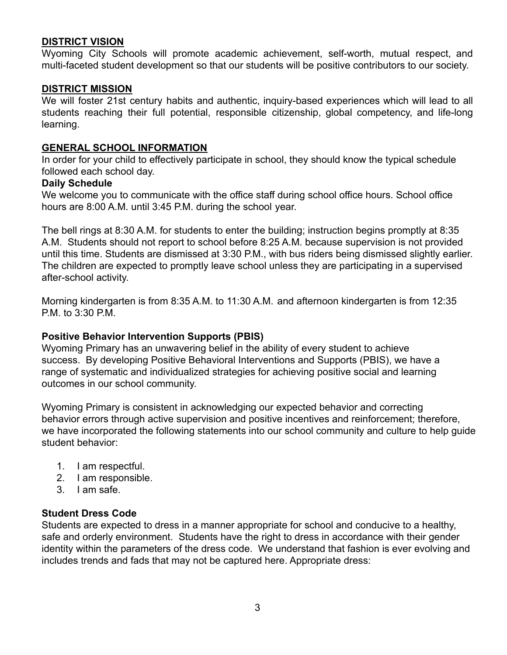#### **DISTRICT VISION**

Wyoming City Schools will promote academic achievement, self-worth, mutual respect, and multi-faceted student development so that our students will be positive contributors to our society.

#### **DISTRICT MISSION**

We will foster 21st century habits and authentic, inquiry-based experiences which will lead to all students reaching their full potential, responsible citizenship, global competency, and life-long learning.

#### **GENERAL SCHOOL INFORMATION**

In order for your child to effectively participate in school, they should know the typical schedule followed each school day.

#### **Daily Schedule**

We welcome you to communicate with the office staff during school office hours. School office hours are 8:00 A.M. until 3:45 P.M. during the school year.

The bell rings at 8:30 A.M. for students to enter the building; instruction begins promptly at 8:35 A.M. Students should not report to school before 8:25 A.M. because supervision is not provided until this time. Students are dismissed at 3:30 P.M., with bus riders being dismissed slightly earlier. The children are expected to promptly leave school unless they are participating in a supervised after-school activity.

Morning kindergarten is from 8:35 A.M. to 11:30 A.M. and afternoon kindergarten is from 12:35 P.M. to 3:30 P.M.

#### **Positive Behavior Intervention Supports (PBIS)**

Wyoming Primary has an unwavering belief in the ability of every student to achieve success. By developing Positive Behavioral Interventions and Supports (PBIS), we have a range of systematic and individualized strategies for achieving positive social and learning outcomes in our school community.

Wyoming Primary is consistent in acknowledging our expected behavior and correcting behavior errors through active supervision and positive incentives and reinforcement; therefore, we have incorporated the following statements into our school community and culture to help guide student behavior:

- 1. I am respectful.
- 2. I am responsible.
- 3. I am safe.

#### **Student Dress Code**

Students are expected to dress in a manner appropriate for school and conducive to a healthy, safe and orderly environment. Students have the right to dress in accordance with their gender identity within the parameters of the dress code. We understand that fashion is ever evolving and includes trends and fads that may not be captured here. Appropriate dress: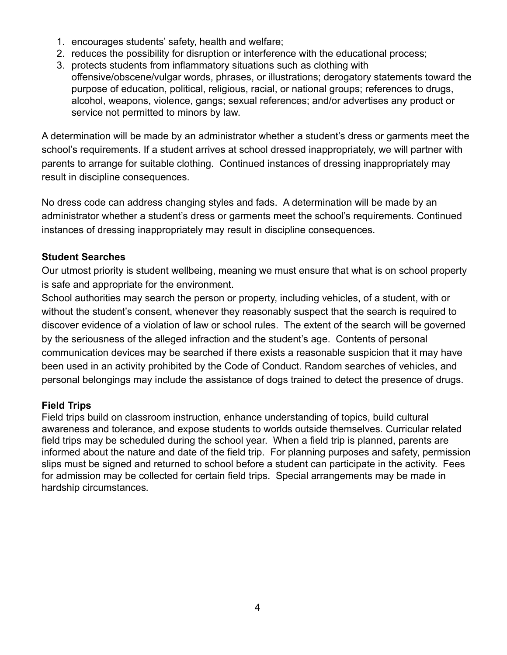- 1. encourages students' safety, health and welfare;
- 2. reduces the possibility for disruption or interference with the educational process;
- 3. protects students from inflammatory situations such as clothing with
- offensive/obscene/vulgar words, phrases, or illustrations; derogatory statements toward the purpose of education, political, religious, racial, or national groups; references to drugs, alcohol, weapons, violence, gangs; sexual references; and/or advertises any product or service not permitted to minors by law.

A determination will be made by an administrator whether a student's dress or garments meet the school's requirements. If a student arrives at school dressed inappropriately, we will partner with parents to arrange for suitable clothing. Continued instances of dressing inappropriately may result in discipline consequences.

No dress code can address changing styles and fads. A determination will be made by an administrator whether a student's dress or garments meet the school's requirements. Continued instances of dressing inappropriately may result in discipline consequences.

# **Student Searches**

Our utmost priority is student wellbeing, meaning we must ensure that what is on school property is safe and appropriate for the environment.

School authorities may search the person or property, including vehicles, of a student, with or without the student's consent, whenever they reasonably suspect that the search is required to discover evidence of a violation of law or school rules. The extent of the search will be governed by the seriousness of the alleged infraction and the student's age. Contents of personal communication devices may be searched if there exists a reasonable suspicion that it may have been used in an activity prohibited by the Code of Conduct. Random searches of vehicles, and personal belongings may include the assistance of dogs trained to detect the presence of drugs.

# **Field Trips**

Field trips build on classroom instruction, enhance understanding of topics, build cultural awareness and tolerance, and expose students to worlds outside themselves. Curricular related field trips may be scheduled during the school year. When a field trip is planned, parents are informed about the nature and date of the field trip. For planning purposes and safety, permission slips must be signed and returned to school before a student can participate in the activity. Fees for admission may be collected for certain field trips. Special arrangements may be made in hardship circumstances*.*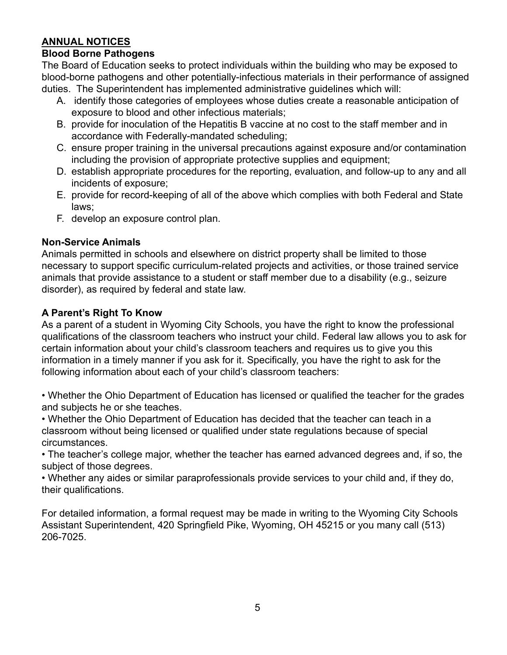# **ANNUAL NOTICES**

#### **Blood Borne Pathogens**

The Board of Education seeks to protect individuals within the building who may be exposed to blood-borne pathogens and other potentially-infectious materials in their performance of assigned duties. The Superintendent has implemented administrative guidelines which will:

- A. identify those categories of employees whose duties create a reasonable anticipation of exposure to blood and other infectious materials;
- B. provide for inoculation of the Hepatitis B vaccine at no cost to the staff member and in accordance with Federally-mandated scheduling;
- C. ensure proper training in the universal precautions against exposure and/or contamination including the provision of appropriate protective supplies and equipment;
- D. establish appropriate procedures for the reporting, evaluation, and follow-up to any and all incidents of exposure;
- E. provide for record-keeping of all of the above which complies with both Federal and State laws;
- F. develop an exposure control plan.

# **Non-Service Animals**

Animals permitted in schools and elsewhere on district property shall be limited to those necessary to support specific curriculum-related projects and activities, or those trained service animals that provide assistance to a student or staff member due to a disability (e.g., seizure disorder), as required by federal and state law.

# **A Parent's Right To Know**

As a parent of a student in Wyoming City Schools, you have the right to know the professional qualifications of the classroom teachers who instruct your child. Federal law allows you to ask for certain information about your child's classroom teachers and requires us to give you this information in a timely manner if you ask for it. Specifically, you have the right to ask for the following information about each of your child's classroom teachers:

• Whether the Ohio Department of Education has licensed or qualified the teacher for the grades and subjects he or she teaches.

• Whether the Ohio Department of Education has decided that the teacher can teach in a classroom without being licensed or qualified under state regulations because of special circumstances.

• The teacher's college major, whether the teacher has earned advanced degrees and, if so, the subject of those degrees.

• Whether any aides or similar paraprofessionals provide services to your child and, if they do, their qualifications.

For detailed information, a formal request may be made in writing to the Wyoming City Schools Assistant Superintendent, 420 Springfield Pike, Wyoming, OH 45215 or you many call (513) 206-7025.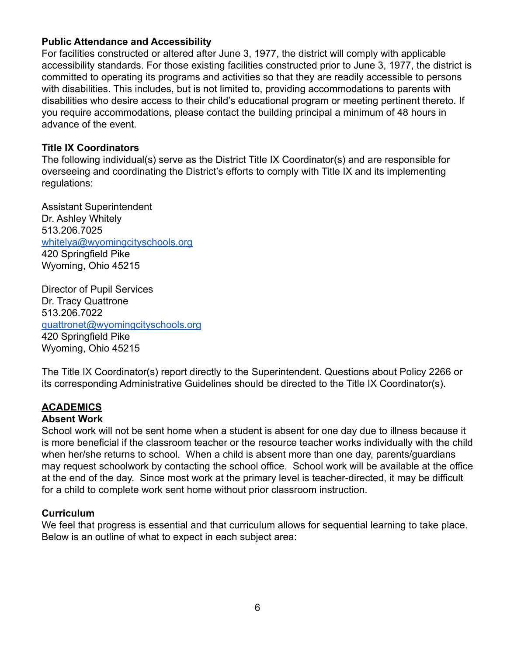#### **Public Attendance and Accessibility**

For facilities constructed or altered after June 3, 1977, the district will comply with applicable accessibility standards. For those existing facilities constructed prior to June 3, 1977, the district is committed to operating its programs and activities so that they are readily accessible to persons with disabilities. This includes, but is not limited to, providing accommodations to parents with disabilities who desire access to their child's educational program or meeting pertinent thereto. If you require accommodations, please contact the building principal a minimum of 48 hours in advance of the event.

#### **Title IX Coordinators**

The following individual(s) serve as the District Title IX Coordinator(s) and are responsible for overseeing and coordinating the District's efforts to comply with Title IX and its implementing regulations:

Assistant Superintendent Dr. Ashley Whitely 513.206.7025 [whitelya@wyomingcityschools.org](mailto:whitelya@wyomingcityschools.org) 420 Springfield Pike Wyoming, Ohio 45215

Director of Pupil Services Dr. Tracy Quattrone 513.206.7022 [quattronet@wyomingcityschools.org](mailto:quattronet@wyomingcityschools.org) 420 Springfield Pike Wyoming, Ohio 45215

The Title IX Coordinator(s) report directly to the Superintendent. Questions about Policy 2266 or its corresponding Administrative Guidelines should be directed to the Title IX Coordinator(s).

# **ACADEMICS**

#### **Absent Work**

School work will not be sent home when a student is absent for one day due to illness because it is more beneficial if the classroom teacher or the resource teacher works individually with the child when her/she returns to school. When a child is absent more than one day, parents/guardians may request schoolwork by contacting the school office. School work will be available at the office at the end of the day. Since most work at the primary level is teacher-directed, it may be difficult for a child to complete work sent home without prior classroom instruction.

#### **Curriculum**

We feel that progress is essential and that curriculum allows for sequential learning to take place. Below is an outline of what to expect in each subject area: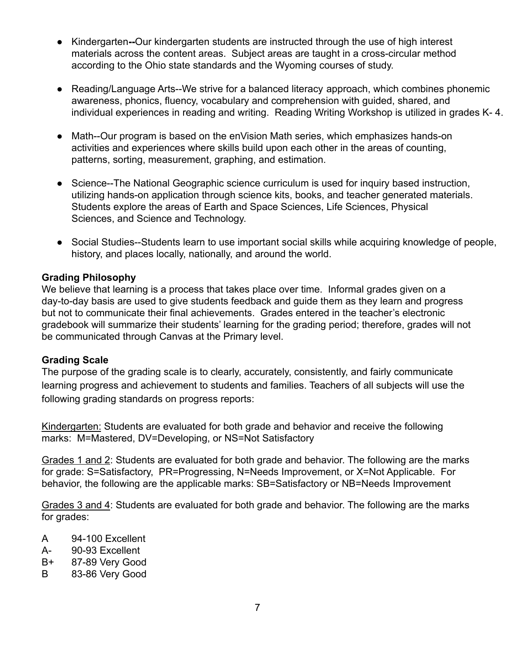- Kindergarten**--**Our kindergarten students are instructed through the use of high interest materials across the content areas. Subject areas are taught in a cross-circular method according to the Ohio state standards and the Wyoming courses of study.
- Reading/Language Arts--We strive for a balanced literacy approach, which combines phonemic awareness, phonics, fluency, vocabulary and comprehension with guided, shared, and individual experiences in reading and writing. Reading Writing Workshop is utilized in grades K- 4.
- Math--Our program is based on the enVision Math series, which emphasizes hands-on activities and experiences where skills build upon each other in the areas of counting, patterns, sorting, measurement, graphing, and estimation.
- Science--The National Geographic science curriculum is used for inquiry based instruction, utilizing hands-on application through science kits, books, and teacher generated materials. Students explore the areas of Earth and Space Sciences, Life Sciences, Physical Sciences, and Science and Technology.
- Social Studies--Students learn to use important social skills while acquiring knowledge of people, history, and places locally, nationally, and around the world.

#### **Grading Philosophy**

We believe that learning is a process that takes place over time. Informal grades given on a day-to-day basis are used to give students feedback and guide them as they learn and progress but not to communicate their final achievements. Grades entered in the teacher's electronic gradebook will summarize their students' learning for the grading period; therefore, grades will not be communicated through Canvas at the Primary level.

#### **Grading Scale**

The purpose of the grading scale is to clearly, accurately, consistently, and fairly communicate learning progress and achievement to students and families. Teachers of all subjects will use the following grading standards on progress reports:

Kindergarten: Students are evaluated for both grade and behavior and receive the following marks: M=Mastered, DV=Developing, or NS=Not Satisfactory

Grades 1 and 2: Students are evaluated for both grade and behavior. The following are the marks for grade: S=Satisfactory, PR=Progressing, N=Needs Improvement, or X=Not Applicable. For behavior, the following are the applicable marks: SB=Satisfactory or NB=Needs Improvement

Grades 3 and 4: Students are evaluated for both grade and behavior. The following are the marks for grades:

- A 94-100 Excellent
- A- 90-93 Excellent
- B+ 87-89 Very Good
- B 83-86 Very Good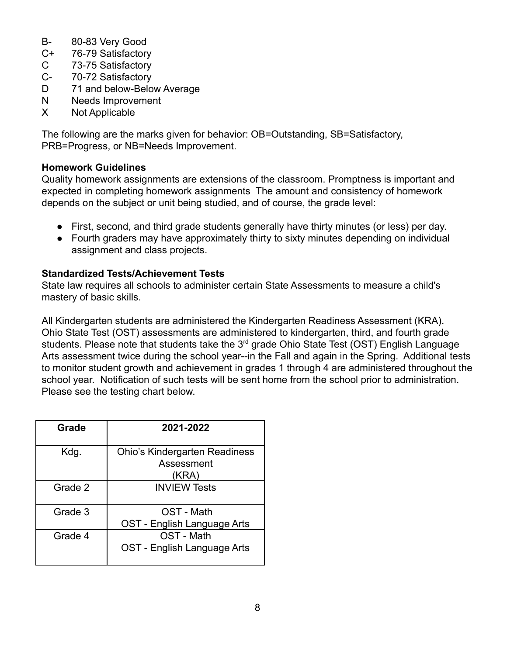- B- 80-83 Very Good
- C+ 76-79 Satisfactory
- C 73-75 Satisfactory
- C- 70-72 Satisfactory
- D 71 and below-Below Average
- N Needs Improvement
- X Not Applicable

The following are the marks given for behavior: OB=Outstanding, SB=Satisfactory, PRB=Progress, or NB=Needs Improvement.

#### **Homework Guidelines**

Quality homework assignments are extensions of the classroom. Promptness is important and expected in completing homework assignments The amount and consistency of homework depends on the subject or unit being studied, and of course, the grade level:

- First, second, and third grade students generally have thirty minutes (or less) per day.
- Fourth graders may have approximately thirty to sixty minutes depending on individual assignment and class projects.

#### **Standardized Tests/Achievement Tests**

State law requires all schools to administer certain State Assessments to measure a child's mastery of basic skills.

All Kindergarten students are administered the Kindergarten Readiness Assessment (KRA). Ohio State Test (OST) assessments are administered to kindergarten, third, and fourth grade students. Please note that students take the 3<sup>rd</sup> grade Ohio State Test (OST) English Language Arts assessment twice during the school year--in the Fall and again in the Spring. Additional tests to monitor student growth and achievement in grades 1 through 4 are administered throughout the school year. Notification of such tests will be sent home from the school prior to administration. Please see the testing chart below.

| Grade   | 2021-2022                                                   |
|---------|-------------------------------------------------------------|
| Kdg.    | <b>Ohio's Kindergarten Readiness</b><br>Assessment<br>(KRA) |
| Grade 2 | <b>INVIEW Tests</b>                                         |
| Grade 3 | OST - Math<br>OST - English Language Arts                   |
| Grade 4 | OST - Math<br>OST - English Language Arts                   |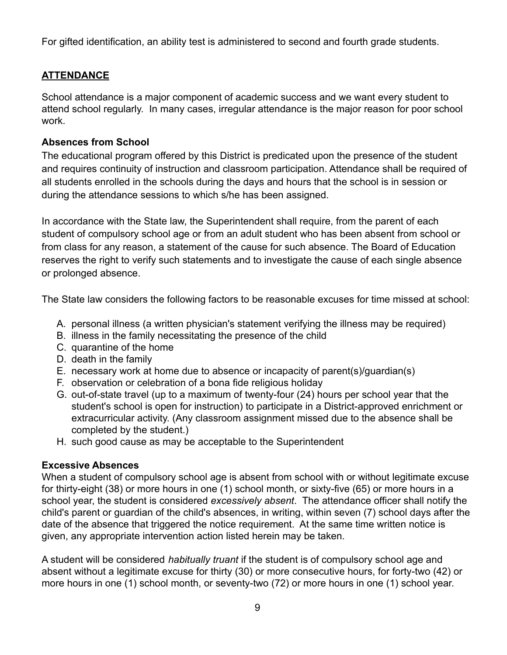For gifted identification, an ability test is administered to second and fourth grade students.

# **ATTENDANCE**

School attendance is a major component of academic success and we want every student to attend school regularly. In many cases, irregular attendance is the major reason for poor school work.

#### **Absences from School**

The educational program offered by this District is predicated upon the presence of the student and requires continuity of instruction and classroom participation. Attendance shall be required of all students enrolled in the schools during the days and hours that the school is in session or during the attendance sessions to which s/he has been assigned.

In accordance with the State law, the Superintendent shall require, from the parent of each student of compulsory school age or from an adult student who has been absent from school or from class for any reason, a statement of the cause for such absence. The Board of Education reserves the right to verify such statements and to investigate the cause of each single absence or prolonged absence.

The State law considers the following factors to be reasonable excuses for time missed at school:

- A. personal illness (a written physician's statement verifying the illness may be required)
- B. illness in the family necessitating the presence of the child
- C. quarantine of the home
- D. death in the family
- E. necessary work at home due to absence or incapacity of parent(s)/guardian(s)
- F. observation or celebration of a bona fide religious holiday
- G. out-of-state travel (up to a maximum of twenty-four (24) hours per school year that the student's school is open for instruction) to participate in a District-approved enrichment or extracurricular activity. (Any classroom assignment missed due to the absence shall be completed by the student.)
- H. such good cause as may be acceptable to the Superintendent

# **Excessive Absences**

When a student of compulsory school age is absent from school with or without legitimate excuse for thirty-eight (38) or more hours in one (1) school month, or sixty-five (65) or more hours in a school year, the student is considered *excessively absent*. The attendance officer shall notify the child's parent or guardian of the child's absences, in writing, within seven (7) school days after the date of the absence that triggered the notice requirement. At the same time written notice is given, any appropriate intervention action listed herein may be taken.

A student will be considered *habitually truant* if the student is of compulsory school age and absent without a legitimate excuse for thirty (30) or more consecutive hours, for forty-two (42) or more hours in one (1) school month, or seventy-two (72) or more hours in one (1) school year.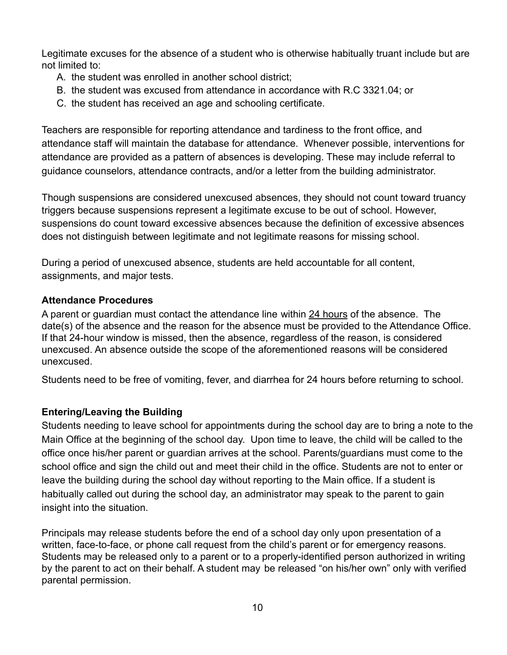Legitimate excuses for the absence of a student who is otherwise habitually truant include but are not limited to:

- A. the student was enrolled in another school district;
- B. the student was excused from attendance in accordance with R.C 3321.04; or
- C. the student has received an age and schooling certificate.

Teachers are responsible for reporting attendance and tardiness to the front office, and attendance staff will maintain the database for attendance. Whenever possible, interventions for attendance are provided as a pattern of absences is developing. These may include referral to guidance counselors, attendance contracts, and/or a letter from the building administrator.

Though suspensions are considered unexcused absences, they should not count toward truancy triggers because suspensions represent a legitimate excuse to be out of school. However, suspensions do count toward excessive absences because the definition of excessive absences does not distinguish between legitimate and not legitimate reasons for missing school.

During a period of unexcused absence, students are held accountable for all content, assignments, and major tests.

# **Attendance Procedures**

A parent or guardian must contact the attendance line within 24 hours of the absence. The date(s) of the absence and the reason for the absence must be provided to the Attendance Office. If that 24-hour window is missed, then the absence, regardless of the reason, is considered unexcused. An absence outside the scope of the aforementioned reasons will be considered unexcused.

Students need to be free of vomiting, fever, and diarrhea for 24 hours before returning to school.

# **Entering/Leaving the Building**

Students needing to leave school for appointments during the school day are to bring a note to the Main Office at the beginning of the school day. Upon time to leave, the child will be called to the office once his/her parent or guardian arrives at the school. Parents/guardians must come to the school office and sign the child out and meet their child in the office. Students are not to enter or leave the building during the school day without reporting to the Main office. If a student is habitually called out during the school day, an administrator may speak to the parent to gain insight into the situation.

Principals may release students before the end of a school day only upon presentation of a written, face-to-face, or phone call request from the child's parent or for emergency reasons. Students may be released only to a parent or to a properly-identified person authorized in writing by the parent to act on their behalf. A student may be released "on his/her own" only with verified parental permission.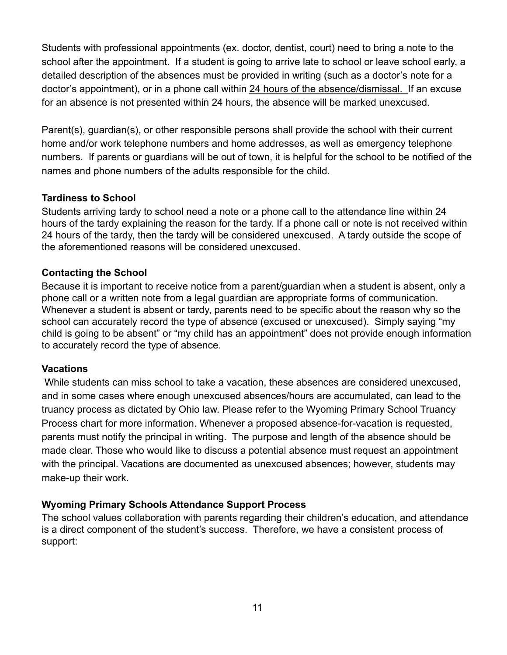Students with professional appointments (ex. doctor, dentist, court) need to bring a note to the school after the appointment. If a student is going to arrive late to school or leave school early, a detailed description of the absences must be provided in writing (such as a doctor's note for a doctor's appointment), or in a phone call within 24 hours of the absence/dismissal. If an excuse for an absence is not presented within 24 hours, the absence will be marked unexcused.

Parent(s), guardian(s), or other responsible persons shall provide the school with their current home and/or work telephone numbers and home addresses, as well as emergency telephone numbers. If parents or guardians will be out of town, it is helpful for the school to be notified of the names and phone numbers of the adults responsible for the child.

#### **Tardiness to School**

Students arriving tardy to school need a note or a phone call to the attendance line within 24 hours of the tardy explaining the reason for the tardy. If a phone call or note is not received within 24 hours of the tardy, then the tardy will be considered unexcused. A tardy outside the scope of the aforementioned reasons will be considered unexcused.

# **Contacting the School**

Because it is important to receive notice from a parent/guardian when a student is absent, only a phone call or a written note from a legal guardian are appropriate forms of communication. Whenever a student is absent or tardy, parents need to be specific about the reason why so the school can accurately record the type of absence (excused or unexcused). Simply saying "my child is going to be absent" or "my child has an appointment" does not provide enough information to accurately record the type of absence.

#### **Vacations**

While students can miss school to take a vacation, these absences are considered unexcused, and in some cases where enough unexcused absences/hours are accumulated, can lead to the truancy process as dictated by Ohio law. Please refer to the Wyoming Primary School Truancy Process chart for more information. Whenever a proposed absence-for-vacation is requested, parents must notify the principal in writing. The purpose and length of the absence should be made clear. Those who would like to discuss a potential absence must request an appointment with the principal. Vacations are documented as unexcused absences; however, students may make-up their work.

# **Wyoming Primary Schools Attendance Support Process**

The school values collaboration with parents regarding their children's education, and attendance is a direct component of the student's success. Therefore, we have a consistent process of support: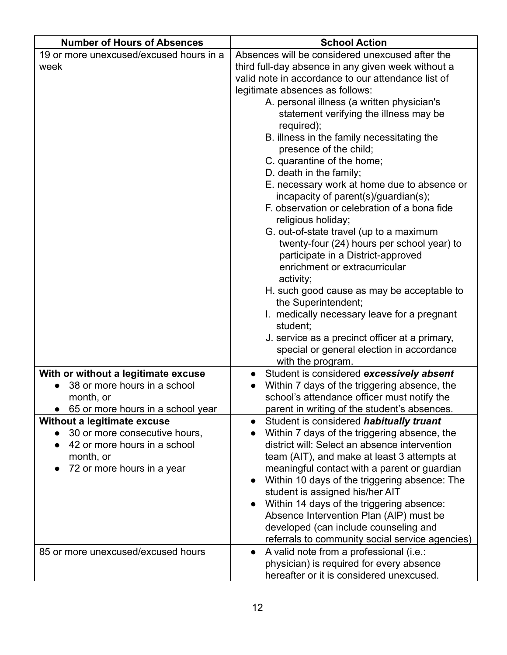| <b>Number of Hours of Absences</b>                                  | <b>School Action</b>                                                                        |
|---------------------------------------------------------------------|---------------------------------------------------------------------------------------------|
| 19 or more unexcused/excused hours in a                             | Absences will be considered unexcused after the                                             |
| week                                                                | third full-day absence in any given week without a                                          |
|                                                                     | valid note in accordance to our attendance list of                                          |
|                                                                     | legitimate absences as follows:                                                             |
|                                                                     | A. personal illness (a written physician's                                                  |
|                                                                     | statement verifying the illness may be                                                      |
|                                                                     | required);                                                                                  |
|                                                                     | B. illness in the family necessitating the                                                  |
|                                                                     | presence of the child;                                                                      |
|                                                                     | C. quarantine of the home;                                                                  |
|                                                                     | D. death in the family;                                                                     |
|                                                                     | E. necessary work at home due to absence or<br>incapacity of parent(s)/guardian(s);         |
|                                                                     | F. observation or celebration of a bona fide                                                |
|                                                                     | religious holiday;                                                                          |
|                                                                     | G. out-of-state travel (up to a maximum                                                     |
|                                                                     | twenty-four (24) hours per school year) to                                                  |
|                                                                     | participate in a District-approved                                                          |
|                                                                     | enrichment or extracurricular                                                               |
|                                                                     | activity;                                                                                   |
|                                                                     | H. such good cause as may be acceptable to                                                  |
|                                                                     | the Superintendent;                                                                         |
|                                                                     | I. medically necessary leave for a pregnant                                                 |
|                                                                     | student;                                                                                    |
|                                                                     | J. service as a precinct officer at a primary,                                              |
|                                                                     | special or general election in accordance                                                   |
|                                                                     | with the program.                                                                           |
| With or without a legitimate excuse<br>38 or more hours in a school | Student is considered excessively absent                                                    |
| month, or                                                           | Within 7 days of the triggering absence, the<br>school's attendance officer must notify the |
| 65 or more hours in a school year                                   | parent in writing of the student's absences.                                                |
| Without a legitimate excuse                                         | Student is considered habitually truant<br>$\bullet$                                        |
| 30 or more consecutive hours,                                       | Within 7 days of the triggering absence, the                                                |
| 42 or more hours in a school                                        | district will: Select an absence intervention                                               |
| month, or                                                           | team (AIT), and make at least 3 attempts at                                                 |
| 72 or more hours in a year                                          | meaningful contact with a parent or guardian                                                |
|                                                                     | Within 10 days of the triggering absence: The                                               |
|                                                                     | student is assigned his/her AIT                                                             |
|                                                                     | Within 14 days of the triggering absence:                                                   |
|                                                                     | Absence Intervention Plan (AIP) must be                                                     |
|                                                                     | developed (can include counseling and                                                       |
|                                                                     | referrals to community social service agencies)                                             |
| 85 or more unexcused/excused hours                                  | A valid note from a professional (i.e.:                                                     |
|                                                                     | physician) is required for every absence                                                    |
|                                                                     | hereafter or it is considered unexcused.                                                    |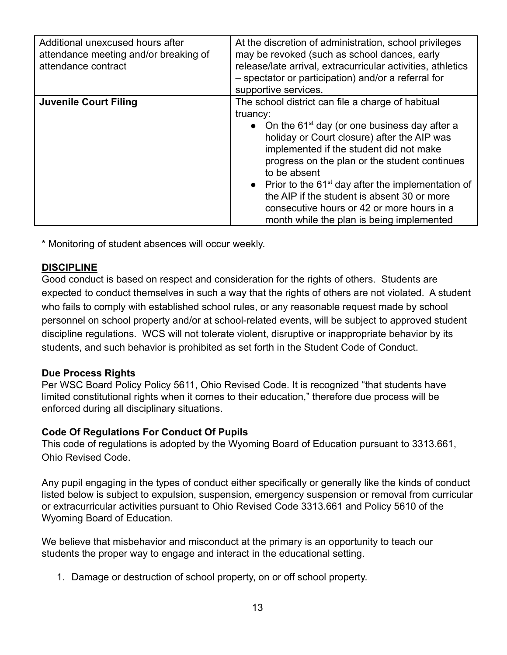| Additional unexcused hours after<br>attendance meeting and/or breaking of<br>attendance contract | At the discretion of administration, school privileges<br>may be revoked (such as school dances, early<br>release/late arrival, extracurricular activities, athletics<br>- spectator or participation) and/or a referral for<br>supportive services.                                                                                                                                                                                                                                      |
|--------------------------------------------------------------------------------------------------|-------------------------------------------------------------------------------------------------------------------------------------------------------------------------------------------------------------------------------------------------------------------------------------------------------------------------------------------------------------------------------------------------------------------------------------------------------------------------------------------|
| <b>Juvenile Court Filing</b>                                                                     | The school district can file a charge of habitual<br>truancy:<br>• On the 61 <sup>st</sup> day (or one business day after a<br>holiday or Court closure) after the AIP was<br>implemented if the student did not make<br>progress on the plan or the student continues<br>to be absent<br>• Prior to the $61st$ day after the implementation of<br>the AIP if the student is absent 30 or more<br>consecutive hours or 42 or more hours in a<br>month while the plan is being implemented |

\* Monitoring of student absences will occur weekly.

#### **DISCIPLINE**

Good conduct is based on respect and consideration for the rights of others. Students are expected to conduct themselves in such a way that the rights of others are not violated. A student who fails to comply with established school rules, or any reasonable request made by school personnel on school property and/or at school-related events, will be subject to approved student discipline regulations. WCS will not tolerate violent, disruptive or inappropriate behavior by its students, and such behavior is prohibited as set forth in the Student Code of Conduct.

#### **Due Process Rights**

Per WSC Board Policy Policy 5611, Ohio Revised Code. It is recognized "that students have limited constitutional rights when it comes to their education," therefore due process will be enforced during all disciplinary situations.

#### **Code Of Regulations For Conduct Of Pupils**

This code of regulations is adopted by the Wyoming Board of Education pursuant to 3313.661, Ohio Revised Code.

Any pupil engaging in the types of conduct either specifically or generally like the kinds of conduct listed below is subject to expulsion, suspension, emergency suspension or removal from curricular or extracurricular activities pursuant to Ohio Revised Code 3313.661 and Policy 5610 of the Wyoming Board of Education.

We believe that misbehavior and misconduct at the primary is an opportunity to teach our students the proper way to engage and interact in the educational setting.

1. Damage or destruction of school property, on or off school property.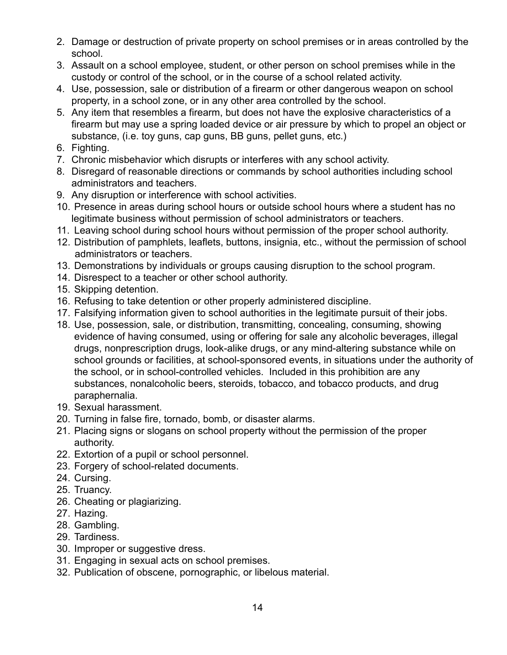- 2. Damage or destruction of private property on school premises or in areas controlled by the school.
- 3. Assault on a school employee, student, or other person on school premises while in the custody or control of the school, or in the course of a school related activity.
- 4. Use, possession, sale or distribution of a firearm or other dangerous weapon on school property, in a school zone, or in any other area controlled by the school.
- 5. Any item that resembles a firearm, but does not have the explosive characteristics of a firearm but may use a spring loaded device or air pressure by which to propel an object or substance, (i.e. toy guns, cap guns, BB guns, pellet guns, etc.)
- 6. Fighting.
- 7. Chronic misbehavior which disrupts or interferes with any school activity.
- 8. Disregard of reasonable directions or commands by school authorities including school administrators and teachers.
- 9. Any disruption or interference with school activities.
- 10. Presence in areas during school hours or outside school hours where a student has no legitimate business without permission of school administrators or teachers.
- 11. Leaving school during school hours without permission of the proper school authority.
- 12. Distribution of pamphlets, leaflets, buttons, insignia, etc., without the permission of school administrators or teachers.
- 13. Demonstrations by individuals or groups causing disruption to the school program.
- 14. Disrespect to a teacher or other school authority.
- 15. Skipping detention.
- 16. Refusing to take detention or other properly administered discipline.
- 17. Falsifying information given to school authorities in the legitimate pursuit of their jobs.
- 18. Use, possession, sale, or distribution, transmitting, concealing, consuming, showing evidence of having consumed, using or offering for sale any alcoholic beverages, illegal drugs, nonprescription drugs, look-alike drugs, or any mind-altering substance while on school grounds or facilities, at school-sponsored events, in situations under the authority of the school, or in school-controlled vehicles. Included in this prohibition are any substances, nonalcoholic beers, steroids, tobacco, and tobacco products, and drug paraphernalia.
- 19. Sexual harassment.
- 20. Turning in false fire, tornado, bomb, or disaster alarms.
- 21. Placing signs or slogans on school property without the permission of the proper authority.
- 22. Extortion of a pupil or school personnel.
- 23. Forgery of school-related documents.
- 24. Cursing.
- 25. Truancy.
- 26. Cheating or plagiarizing.
- 27. Hazing.
- 28. Gambling.
- 29. Tardiness.
- 30. Improper or suggestive dress.
- 31. Engaging in sexual acts on school premises.
- 32. Publication of obscene, pornographic, or libelous material.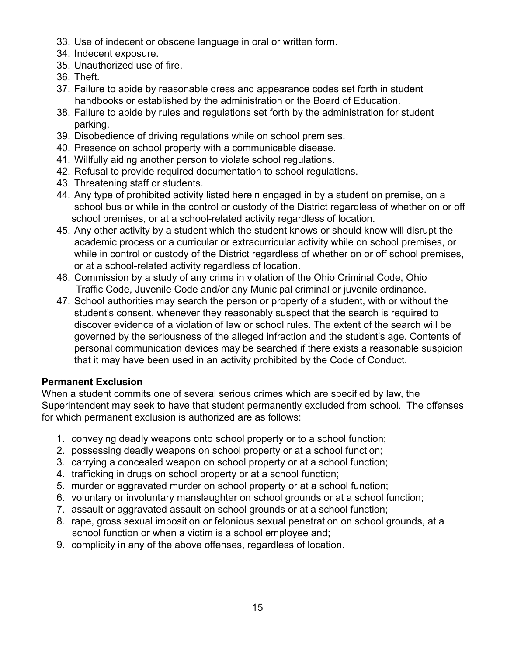- 33. Use of indecent or obscene language in oral or written form.
- 34. Indecent exposure.
- 35. Unauthorized use of fire.
- 36. Theft.
- 37. Failure to abide by reasonable dress and appearance codes set forth in student handbooks or established by the administration or the Board of Education.
- 38. Failure to abide by rules and regulations set forth by the administration for student parking.
- 39. Disobedience of driving regulations while on school premises.
- 40. Presence on school property with a communicable disease.
- 41. Willfully aiding another person to violate school regulations.
- 42. Refusal to provide required documentation to school regulations.
- 43. Threatening staff or students.
- 44. Any type of prohibited activity listed herein engaged in by a student on premise, on a school bus or while in the control or custody of the District regardless of whether on or off school premises, or at a school-related activity regardless of location.
- 45. Any other activity by a student which the student knows or should know will disrupt the academic process or a curricular or extracurricular activity while on school premises, or while in control or custody of the District regardless of whether on or off school premises, or at a school-related activity regardless of location.
- 46. Commission by a study of any crime in violation of the Ohio Criminal Code, Ohio Traffic Code, Juvenile Code and/or any Municipal criminal or juvenile ordinance.
- 47. School authorities may search the person or property of a student, with or without the student's consent, whenever they reasonably suspect that the search is required to discover evidence of a violation of law or school rules. The extent of the search will be governed by the seriousness of the alleged infraction and the student's age. Contents of personal communication devices may be searched if there exists a reasonable suspicion that it may have been used in an activity prohibited by the Code of Conduct.

#### **Permanent Exclusion**

When a student commits one of several serious crimes which are specified by law, the Superintendent may seek to have that student permanently excluded from school. The offenses for which permanent exclusion is authorized are as follows:

- 1. conveying deadly weapons onto school property or to a school function;
- 2. possessing deadly weapons on school property or at a school function;
- 3. carrying a concealed weapon on school property or at a school function;
- 4. trafficking in drugs on school property or at a school function;
- 5. murder or aggravated murder on school property or at a school function;
- 6. voluntary or involuntary manslaughter on school grounds or at a school function;
- 7. assault or aggravated assault on school grounds or at a school function;
- 8. rape, gross sexual imposition or felonious sexual penetration on school grounds, at a school function or when a victim is a school employee and;
- 9. complicity in any of the above offenses, regardless of location.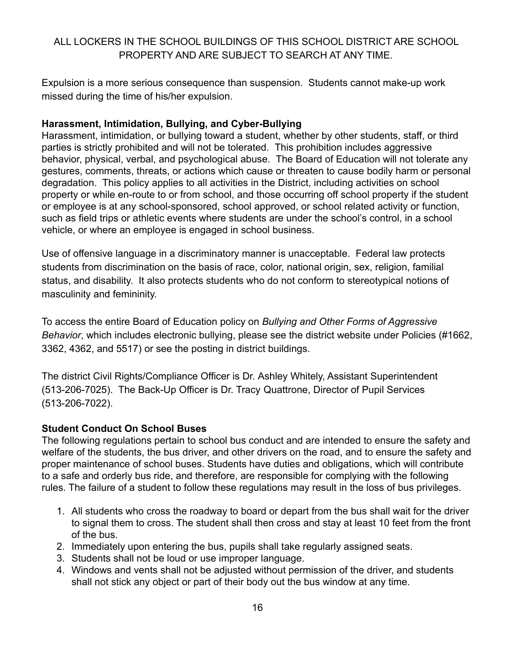# ALL LOCKERS IN THE SCHOOL BUILDINGS OF THIS SCHOOL DISTRICT ARE SCHOOL PROPERTY AND ARE SUBJECT TO SEARCH AT ANY TIME.

Expulsion is a more serious consequence than suspension. Students cannot make-up work missed during the time of his/her expulsion.

#### **Harassment, Intimidation, Bullying, and Cyber-Bullying**

Harassment, intimidation, or bullying toward a student, whether by other students, staff, or third parties is strictly prohibited and will not be tolerated. This prohibition includes aggressive behavior, physical, verbal, and psychological abuse. The Board of Education will not tolerate any gestures, comments, threats, or actions which cause or threaten to cause bodily harm or personal degradation. This policy applies to all activities in the District, including activities on school property or while en-route to or from school, and those occurring off school property if the student or employee is at any school-sponsored, school approved, or school related activity or function, such as field trips or athletic events where students are under the school's control, in a school vehicle, or where an employee is engaged in school business.

Use of offensive language in a discriminatory manner is unacceptable. Federal law protects students from discrimination on the basis of race, color, national origin, sex, religion, familial status, and disability. It also protects students who do not conform to stereotypical notions of masculinity and femininity.

To access the entire Board of Education policy on *Bullying and Other Forms of Aggressive Behavior*, which includes electronic bullying, please see the district website under Policies (#1662, 3362, 4362, and 5517) or see the posting in district buildings.

The district Civil Rights/Compliance Officer is Dr. Ashley Whitely, Assistant Superintendent (513-206-7025). The Back-Up Officer is Dr. Tracy Quattrone, Director of Pupil Services (513-206-7022).

#### **Student Conduct On School Buses**

The following regulations pertain to school bus conduct and are intended to ensure the safety and welfare of the students, the bus driver, and other drivers on the road, and to ensure the safety and proper maintenance of school buses. Students have duties and obligations, which will contribute to a safe and orderly bus ride, and therefore, are responsible for complying with the following rules. The failure of a student to follow these regulations may result in the loss of bus privileges.

- 1. All students who cross the roadway to board or depart from the bus shall wait for the driver to signal them to cross. The student shall then cross and stay at least 10 feet from the front of the bus.
- 2. Immediately upon entering the bus, pupils shall take regularly assigned seats.
- 3. Students shall not be loud or use improper language.
- 4. Windows and vents shall not be adjusted without permission of the driver, and students shall not stick any object or part of their body out the bus window at any time.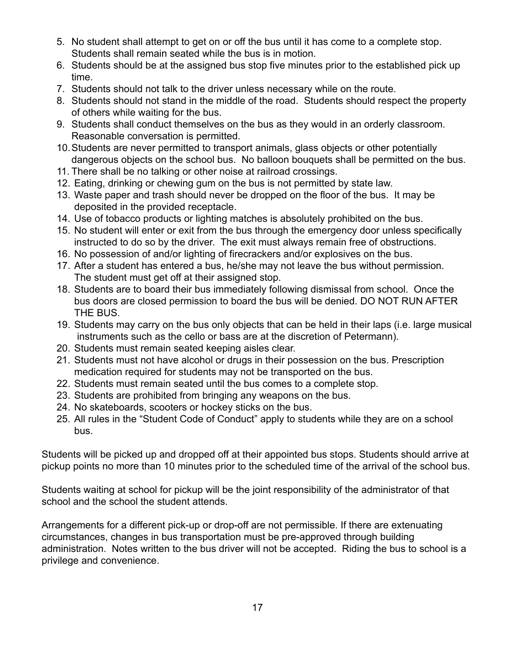- 5. No student shall attempt to get on or off the bus until it has come to a complete stop. Students shall remain seated while the bus is in motion.
- 6. Students should be at the assigned bus stop five minutes prior to the established pick up time.
- 7. Students should not talk to the driver unless necessary while on the route.
- 8. Students should not stand in the middle of the road. Students should respect the property of others while waiting for the bus.
- 9. Students shall conduct themselves on the bus as they would in an orderly classroom. Reasonable conversation is permitted.
- 10.Students are never permitted to transport animals, glass objects or other potentially dangerous objects on the school bus. No balloon bouquets shall be permitted on the bus.
- 11. There shall be no talking or other noise at railroad crossings.
- 12. Eating, drinking or chewing gum on the bus is not permitted by state law.
- 13. Waste paper and trash should never be dropped on the floor of the bus. It may be deposited in the provided receptacle.
- 14. Use of tobacco products or lighting matches is absolutely prohibited on the bus.
- 15. No student will enter or exit from the bus through the emergency door unless specifically instructed to do so by the driver. The exit must always remain free of obstructions.
- 16. No possession of and/or lighting of firecrackers and/or explosives on the bus.
- 17. After a student has entered a bus, he/she may not leave the bus without permission. The student must get off at their assigned stop.
- 18. Students are to board their bus immediately following dismissal from school. Once the bus doors are closed permission to board the bus will be denied. DO NOT RUN AFTER THE BUS.
- 19. Students may carry on the bus only objects that can be held in their laps (i.e. large musical instruments such as the cello or bass are at the discretion of Petermann).
- 20. Students must remain seated keeping aisles clear.
- 21. Students must not have alcohol or drugs in their possession on the bus. Prescription medication required for students may not be transported on the bus.
- 22. Students must remain seated until the bus comes to a complete stop.
- 23. Students are prohibited from bringing any weapons on the bus.
- 24. No skateboards, scooters or hockey sticks on the bus.
- 25. All rules in the "Student Code of Conduct" apply to students while they are on a school bus.

Students will be picked up and dropped off at their appointed bus stops. Students should arrive at pickup points no more than 10 minutes prior to the scheduled time of the arrival of the school bus.

Students waiting at school for pickup will be the joint responsibility of the administrator of that school and the school the student attends.

Arrangements for a different pick-up or drop-off are not permissible. If there are extenuating circumstances, changes in bus transportation must be pre-approved through building administration. Notes written to the bus driver will not be accepted. Riding the bus to school is a privilege and convenience.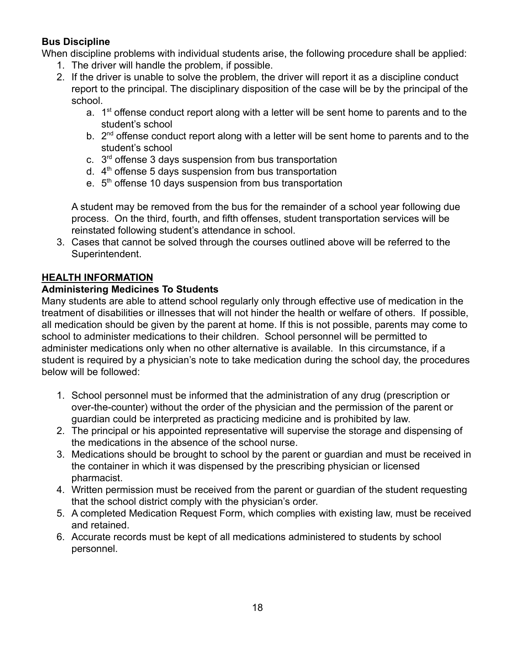# **Bus Discipline**

When discipline problems with individual students arise, the following procedure shall be applied:

- 1. The driver will handle the problem, if possible.
- 2. If the driver is unable to solve the problem, the driver will report it as a discipline conduct report to the principal. The disciplinary disposition of the case will be by the principal of the school.
	- a.  $1<sup>st</sup>$  offense conduct report along with a letter will be sent home to parents and to the student's school
	- b.  $2^{nd}$  offense conduct report along with a letter will be sent home to parents and to the student's school
	- c.  $3<sup>rd</sup>$  offense 3 days suspension from bus transportation
	- d.  $4<sup>th</sup>$  offense 5 days suspension from bus transportation
	- e. 5<sup>th</sup> offense 10 days suspension from bus transportation

A student may be removed from the bus for the remainder of a school year following due process. On the third, fourth, and fifth offenses, student transportation services will be reinstated following student's attendance in school.

3. Cases that cannot be solved through the courses outlined above will be referred to the Superintendent.

# **HEALTH INFORMATION**

# **Administering Medicines To Students**

Many students are able to attend school regularly only through effective use of medication in the treatment of disabilities or illnesses that will not hinder the health or welfare of others. If possible, all medication should be given by the parent at home. If this is not possible, parents may come to school to administer medications to their children. School personnel will be permitted to administer medications only when no other alternative is available. In this circumstance, if a student is required by a physician's note to take medication during the school day, the procedures below will be followed:

- 1. School personnel must be informed that the administration of any drug (prescription or over-the-counter) without the order of the physician and the permission of the parent or guardian could be interpreted as practicing medicine and is prohibited by law.
- 2. The principal or his appointed representative will supervise the storage and dispensing of the medications in the absence of the school nurse.
- 3. Medications should be brought to school by the parent or guardian and must be received in the container in which it was dispensed by the prescribing physician or licensed pharmacist.
- 4. Written permission must be received from the parent or guardian of the student requesting that the school district comply with the physician's order.
- 5. A completed Medication Request Form, which complies with existing law, must be received and retained.
- 6. Accurate records must be kept of all medications administered to students by school personnel.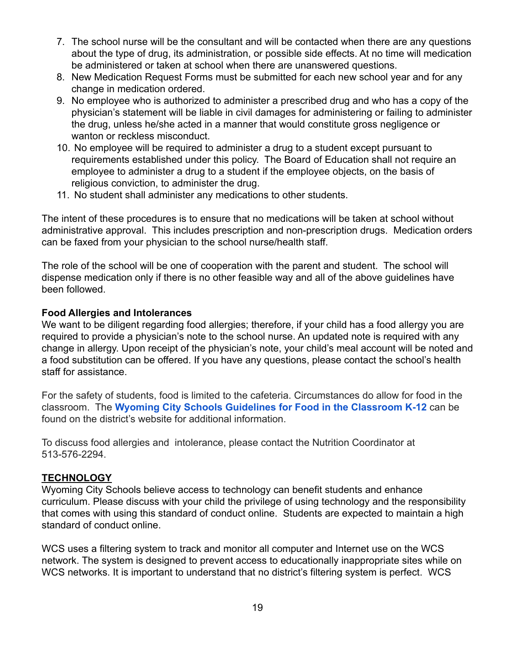- 7. The school nurse will be the consultant and will be contacted when there are any questions about the type of drug, its administration, or possible side effects. At no time will medication be administered or taken at school when there are unanswered questions.
- 8. New Medication Request Forms must be submitted for each new school year and for any change in medication ordered.
- 9. No employee who is authorized to administer a prescribed drug and who has a copy of the physician's statement will be liable in civil damages for administering or failing to administer the drug, unless he/she acted in a manner that would constitute gross negligence or wanton or reckless misconduct.
- 10. No employee will be required to administer a drug to a student except pursuant to requirements established under this policy. The Board of Education shall not require an employee to administer a drug to a student if the employee objects, on the basis of religious conviction, to administer the drug.
- 11. No student shall administer any medications to other students.

The intent of these procedures is to ensure that no medications will be taken at school without administrative approval. This includes prescription and non-prescription drugs. Medication orders can be faxed from your physician to the school nurse/health staff.

The role of the school will be one of cooperation with the parent and student. The school will dispense medication only if there is no other feasible way and all of the above guidelines have been followed.

#### **Food Allergies and Intolerances**

We want to be diligent regarding food allergies; therefore, if your child has a food allergy you are required to provide a physician's note to the school nurse. An updated note is required with any change in allergy. Upon receipt of the physician's note, your child's meal account will be noted and a food substitution can be offered. If you have any questions, please contact the school's health staff for assistance.

For the safety of students, food is limited to the cafeteria. Circumstances do allow for food in the classroom. The **[Wyoming City Schools Guidelines for](https://www.wyomingcityschools.org/userfiles/-32/my%20files/food%20allergy%20guidelines%202019.pdf?id=239) Food in the Classroom K-12** can be found on the district's website for additional information.

To discuss food allergies and intolerance, please contact the Nutrition Coordinator at 513-576-2294.

#### **TECHNOLOGY**

Wyoming City Schools believe access to technology can benefit students and enhance curriculum. Please discuss with your child the privilege of using technology and the responsibility that comes with using this standard of conduct online. Students are expected to maintain a high standard of conduct online.

WCS uses a filtering system to track and monitor all computer and Internet use on the WCS network. The system is designed to prevent access to educationally inappropriate sites while on WCS networks. It is important to understand that no district's filtering system is perfect. WCS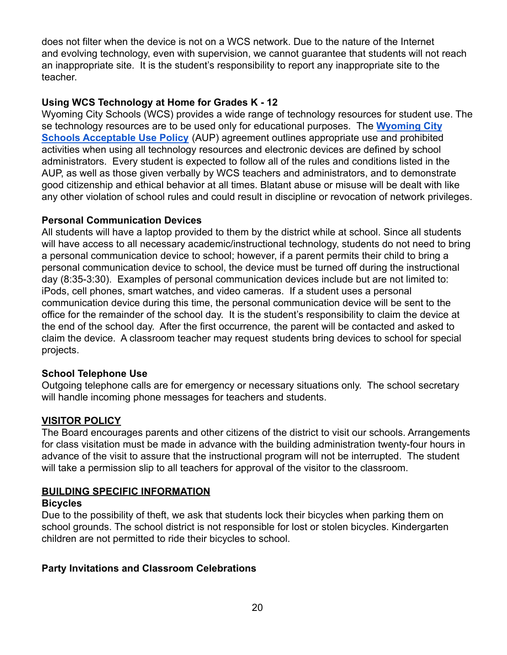does not filter when the device is not on a WCS network. Due to the nature of the Internet and evolving technology, even with supervision, we cannot guarantee that students will not reach an inappropriate site. It is the student's responsibility to report any inappropriate site to the teacher.

#### **Using WCS Technology at Home for Grades K - 12**

Wyoming City Schools (WCS) provides a wide range of technology resources for student use. The se technology resources are to be used only for educational purposes. The **[Wyoming City](https://drive.google.com/file/d/15wf5nnxwifBBJUKAS5DOl-zr1bNIdqOI/view?usp=sharing) [Schools Acceptable Use Policy](https://drive.google.com/file/d/15wf5nnxwifBBJUKAS5DOl-zr1bNIdqOI/view?usp=sharing)** (AUP) agreement outlines appropriate use and prohibited activities when using all technology resources and electronic devices are defined by school administrators. Every student is expected to follow all of the rules and conditions listed in the AUP, as well as those given verbally by WCS teachers and administrators, and to demonstrate good citizenship and ethical behavior at all times. Blatant abuse or misuse will be dealt with like any other violation of school rules and could result in discipline or revocation of network privileges.

#### **Personal Communication Devices**

All students will have a laptop provided to them by the district while at school. Since all students will have access to all necessary academic/instructional technology, students do not need to bring a personal communication device to school; however, if a parent permits their child to bring a personal communication device to school, the device must be turned off during the instructional day (8:35-3:30). Examples of personal communication devices include but are not limited to: iPods, cell phones, smart watches, and video cameras. If a student uses a personal communication device during this time, the personal communication device will be sent to the office for the remainder of the school day. It is the student's responsibility to claim the device at the end of the school day. After the first occurrence, the parent will be contacted and asked to claim the device. A classroom teacher may request students bring devices to school for special projects.

#### **School Telephone Use**

Outgoing telephone calls are for emergency or necessary situations only. The school secretary will handle incoming phone messages for teachers and students.

# **VISITOR POLICY**

The Board encourages parents and other citizens of the district to visit our schools. Arrangements for class visitation must be made in advance with the building administration twenty-four hours in advance of the visit to assure that the instructional program will not be interrupted. The student will take a permission slip to all teachers for approval of the visitor to the classroom.

#### **BUILDING SPECIFIC INFORMATION**

#### **Bicycles**

Due to the possibility of theft, we ask that students lock their bicycles when parking them on school grounds. The school district is not responsible for lost or stolen bicycles. Kindergarten children are not permitted to ride their bicycles to school.

# **Party Invitations and Classroom Celebrations**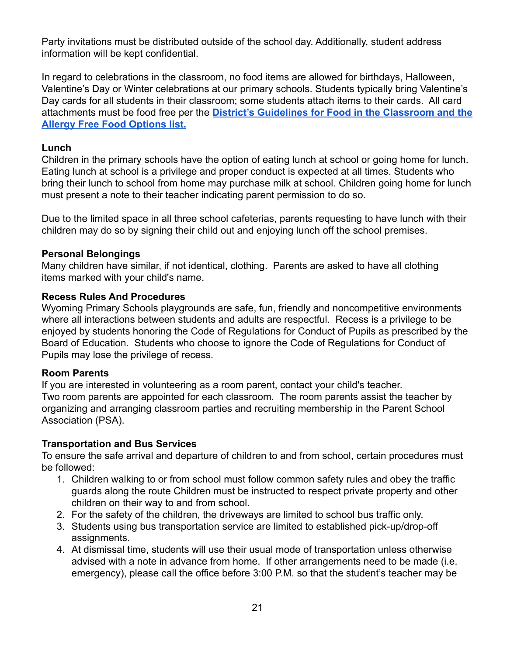Party invitations must be distributed outside of the school day. Additionally, student address information will be kept confidential.

In regard to celebrations in the classroom, no food items are allowed for birthdays, Halloween, Valentine's Day or Winter celebrations at our primary schools. Students typically bring Valentine's Day cards for all students in their classroom; some students attach items to their cards. All card attachments must be food free per the **District's Guidelines [for Food in the Classroom and the](https://www.wyomingschools.org/Content2/122) [Allergy Free Food Options list.](https://www.wyomingschools.org/Content2/122)**

#### **Lunch**

Children in the primary schools have the option of eating lunch at school or going home for lunch. Eating lunch at school is a privilege and proper conduct is expected at all times. Students who bring their lunch to school from home may purchase milk at school. Children going home for lunch must present a note to their teacher indicating parent permission to do so.

Due to the limited space in all three school cafeterias, parents requesting to have lunch with their children may do so by signing their child out and enjoying lunch off the school premises.

#### **Personal Belongings**

Many children have similar, if not identical, clothing. Parents are asked to have all clothing items marked with your child's name.

# **Recess Rules And Procedures**

Wyoming Primary Schools playgrounds are safe, fun, friendly and noncompetitive environments where all interactions between students and adults are respectful. Recess is a privilege to be enjoyed by students honoring the Code of Regulations for Conduct of Pupils as prescribed by the Board of Education. Students who choose to ignore the Code of Regulations for Conduct of Pupils may lose the privilege of recess.

#### **Room Parents**

If you are interested in volunteering as a room parent, contact your child's teacher. Two room parents are appointed for each classroom. The room parents assist the teacher by organizing and arranging classroom parties and recruiting membership in the Parent School Association (PSA).

# **Transportation and Bus Services**

To ensure the safe arrival and departure of children to and from school, certain procedures must be followed:

- 1. Children walking to or from school must follow common safety rules and obey the traffic guards along the route Children must be instructed to respect private property and other children on their way to and from school.
- 2. For the safety of the children, the driveways are limited to school bus traffic only.
- 3. Students using bus transportation service are limited to established pick-up/drop-off assignments.
- 4. At dismissal time, students will use their usual mode of transportation unless otherwise advised with a note in advance from home. If other arrangements need to be made (i.e. emergency), please call the office before 3:00 P.M. so that the student's teacher may be